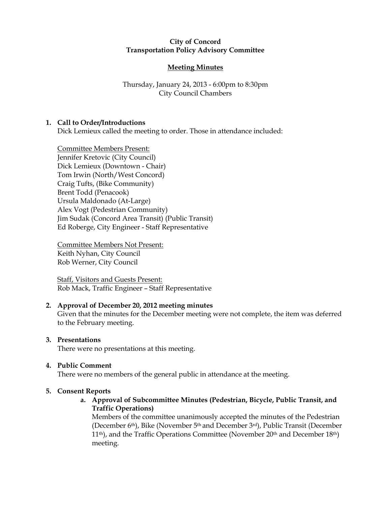### City of Concord Transportation Policy Advisory Committee

# Meeting Minutes

Thursday, January 24, 2013 - 6:00pm to 8:30pm City Council Chambers

## 1. Call to Order/Introductions

Dick Lemieux called the meeting to order. Those in attendance included:

Committee Members Present: Jennifer Kretovic (City Council) Dick Lemieux (Downtown - Chair) Tom Irwin (North/West Concord) Craig Tufts, (Bike Community) Brent Todd (Penacook) Ursula Maldonado (At-Large) Alex Vogt (Pedestrian Community) Jim Sudak (Concord Area Transit) (Public Transit) Ed Roberge, City Engineer - Staff Representative

Committee Members Not Present: Keith Nyhan, City Council Rob Werner, City Council

Staff, Visitors and Guests Present: Rob Mack, Traffic Engineer – Staff Representative

## 2. Approval of December 20, 2012 meeting minutes

Given that the minutes for the December meeting were not complete, the item was deferred to the February meeting.

## 3. Presentations

There were no presentations at this meeting.

# 4. Public Comment

There were no members of the general public in attendance at the meeting.

# 5. Consent Reports

a. Approval of Subcommittee Minutes (Pedestrian, Bicycle, Public Transit, and Traffic Operations)

Members of the committee unanimously accepted the minutes of the Pedestrian (December 6th), Bike (November 5th and December 3rd), Public Transit (December  $11<sup>th</sup>$ ), and the Traffic Operations Committee (November  $20<sup>th</sup>$  and December  $18<sup>th</sup>$ ) meeting.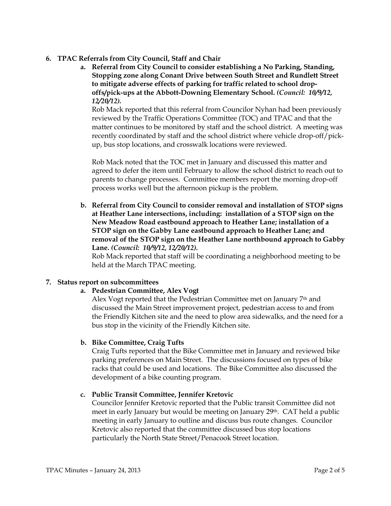- 6. TPAC Referrals from City Council, Staff and Chair
	- a. Referral from City Council to consider establishing a No Parking, Standing, Stopping zone along Conant Drive between South Street and Rundlett Street to mitigate adverse effects of parking for traffic related to school dropoffs/pick-ups at the Abbott-Downing Elementary School. (Council: 10/9/12, 12/20/12).

Rob Mack reported that this referral from Councilor Nyhan had been previously reviewed by the Traffic Operations Committee (TOC) and TPAC and that the matter continues to be monitored by staff and the school district. A meeting was recently coordinated by staff and the school district where vehicle drop-off/pickup, bus stop locations, and crosswalk locations were reviewed.

Rob Mack noted that the TOC met in January and discussed this matter and agreed to defer the item until February to allow the school district to reach out to parents to change processes. Committee members report the morning drop-off process works well but the afternoon pickup is the problem.

b. Referral from City Council to consider removal and installation of STOP signs at Heather Lane intersections, including: installation of a STOP sign on the New Meadow Road eastbound approach to Heather Lane; installation of a STOP sign on the Gabby Lane eastbound approach to Heather Lane; and removal of the STOP sign on the Heather Lane northbound approach to Gabby Lane. (Council: 10/9/12, 12/20/12).

Rob Mack reported that staff will be coordinating a neighborhood meeting to be held at the March TPAC meeting.

## 7. Status report on subcommittees

a. Pedestrian Committee, Alex Vogt

Alex Vogt reported that the Pedestrian Committee met on January 7th and discussed the Main Street improvement project, pedestrian access to and from the Friendly Kitchen site and the need to plow area sidewalks, and the need for a bus stop in the vicinity of the Friendly Kitchen site.

## b. Bike Committee, Craig Tufts

Craig Tufts reported that the Bike Committee met in January and reviewed bike parking preferences on Main Street. The discussions focused on types of bike racks that could be used and locations. The Bike Committee also discussed the development of a bike counting program.

## c. Public Transit Committee, Jennifer Kretovic

Councilor Jennifer Kretovic reported that the Public transit Committee did not meet in early January but would be meeting on January 29<sup>th</sup>. CAT held a public meeting in early January to outline and discuss bus route changes. Councilor Kretovic also reported that the committee discussed bus stop locations particularly the North State Street/Penacook Street location.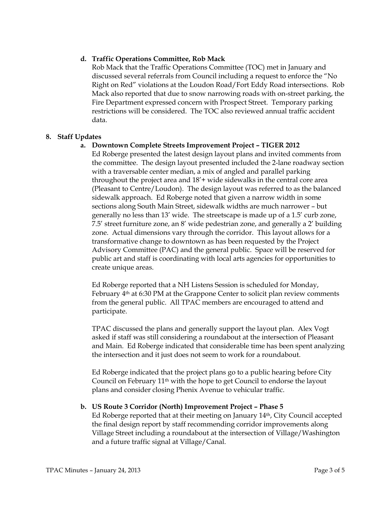### d. Traffic Operations Committee, Rob Mack

Rob Mack that the Traffic Operations Committee (TOC) met in January and discussed several referrals from Council including a request to enforce the "No Right on Red" violations at the Loudon Road/Fort Eddy Road intersections. Rob Mack also reported that due to snow narrowing roads with on-street parking, the Fire Department expressed concern with Prospect Street. Temporary parking restrictions will be considered. The TOC also reviewed annual traffic accident data.

#### 8. Staff Updates

### a. Downtown Complete Streets Improvement Project – TIGER 2012

Ed Roberge presented the latest design layout plans and invited comments from the committee. The design layout presented included the 2-lane roadway section with a traversable center median, a mix of angled and parallel parking throughout the project area and 18'+ wide sidewalks in the central core area (Pleasant to Centre/Loudon). The design layout was referred to as the balanced sidewalk approach. Ed Roberge noted that given a narrow width in some sections along South Main Street, sidewalk widths are much narrower – but generally no less than 13' wide. The streetscape is made up of a 1.5' curb zone, 7.5' street furniture zone, an 8' wide pedestrian zone, and generally a 2' building zone. Actual dimensions vary through the corridor. This layout allows for a transformative change to downtown as has been requested by the Project Advisory Committee (PAC) and the general public. Space will be reserved for public art and staff is coordinating with local arts agencies for opportunities to create unique areas.

Ed Roberge reported that a NH Listens Session is scheduled for Monday, February  $4<sup>th</sup>$  at 6:30 PM at the Grappone Center to solicit plan review comments from the general public. All TPAC members are encouraged to attend and participate.

TPAC discussed the plans and generally support the layout plan. Alex Vogt asked if staff was still considering a roundabout at the intersection of Pleasant and Main. Ed Roberge indicated that considerable time has been spent analyzing the intersection and it just does not seem to work for a roundabout.

Ed Roberge indicated that the project plans go to a public hearing before City Council on February 11th with the hope to get Council to endorse the layout plans and consider closing Phenix Avenue to vehicular traffic.

#### b. US Route 3 Corridor (North) Improvement Project – Phase 5

Ed Roberge reported that at their meeting on January 14th, City Council accepted the final design report by staff recommending corridor improvements along Village Street including a roundabout at the intersection of Village/Washington and a future traffic signal at Village/Canal.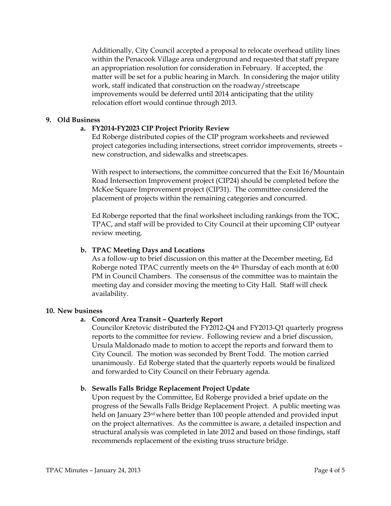Additionally, City Council accepted a proposal to relocate overhead utility lines within the Penacook Village area underground and requested that staff prepare an appropriation resolution for consideration in February. If accepted, the matter will be set for a public hearing in March. In considering the major utility work, staff indicated that construction on the roadway/streetscape improvements would be deferred until 2014 anticipating that the utility relocation effort would continue through 2013.

#### 9. Old Business

### a. FY2014-FY2023 CIP Project Priority Review

Ed Roberge distributed copies of the CIP program worksheets and reviewed project categories including intersections, street corridor improvements, streets – new construction, and sidewalks and streetscapes.

With respect to intersections, the committee concurred that the Exit 16/Mountain Road Intersection Improvement project (CIP24) should be completed before the McKee Square Improvement project (CIP31). The committee considered the placement of projects within the remaining categories and concurred.

Ed Roberge reported that the final worksheet including rankings from the TOC, TPAC, and staff will be provided to City Council at their upcoming CIP outyear review meeting.

#### b. TPAC Meeting Days and Locations

As a follow-up to brief discussion on this matter at the December meeting, Ed Roberge noted TPAC currently meets on the 4th Thursday of each month at 6:00 PM in Council Chambers. The consensus of the committee was to maintain the meeting day and consider moving the meeting to City Hall. Staff will check availability.

#### 10. New business

#### a. Concord Area Transit – Quarterly Report

Councilor Kretovic distributed the FY2012-Q4 and FY2013-Q1 quarterly progress reports to the committee for review. Following review and a brief discussion, Ursula Maldonado made to motion to accept the reports and forward them to City Council. The motion was seconded by Brent Todd. The motion carried unanimously. Ed Roberge stated that the quarterly reports would be finalized and forwarded to City Council on their February agenda.

#### b. Sewalls Falls Bridge Replacement Project Update

Upon request by the Committee, Ed Roberge provided a brief update on the progress of the Sewalls Falls Bridge Replacement Project. A public meeting was held on January 23rd where better than 100 people attended and provided input on the project alternatives. As the committee is aware, a detailed inspection and structural analysis was completed in late 2012 and based on those findings, staff recommends replacement of the existing truss structure bridge.